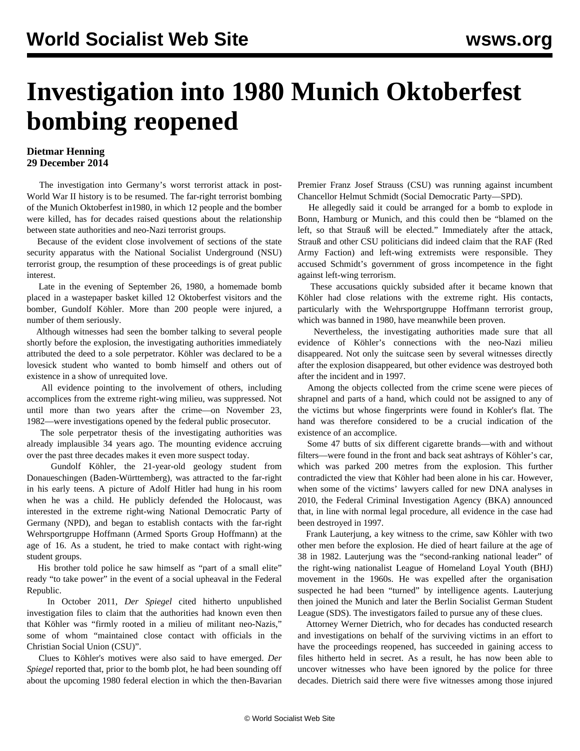## **Investigation into 1980 Munich Oktoberfest bombing reopened**

## **Dietmar Henning 29 December 2014**

 The investigation into Germany's worst terrorist attack in post-World War II history is to be resumed. The far-right terrorist bombing of the Munich Oktoberfest in1980, in which 12 people and the bomber were killed, has for decades raised questions about the relationship between state authorities and neo-Nazi terrorist groups.

 Because of the evident close involvement of sections of the state security apparatus with the National Socialist Underground (NSU) terrorist group, the resumption of these proceedings is of great public interest.

 Late in the evening of September 26, 1980, a homemade bomb placed in a wastepaper basket killed 12 Oktoberfest visitors and the bomber, Gundolf Köhler. More than 200 people were injured, a number of them seriously.

 Although witnesses had seen the bomber talking to several people shortly before the explosion, the investigating authorities immediately attributed the deed to a sole perpetrator. Köhler was declared to be a lovesick student who wanted to bomb himself and others out of existence in a show of unrequited love.

 All evidence pointing to the involvement of others, including accomplices from the extreme right-wing milieu, was suppressed. Not until more than two years after the crime—on November 23, 1982—were investigations opened by the federal public prosecutor.

 The sole perpetrator thesis of the investigating authorities was already implausible 34 years ago. The mounting evidence accruing over the past three decades makes it even more suspect today.

 Gundolf Köhler, the 21-year-old geology student from Donaueschingen (Baden-Württemberg), was attracted to the far-right in his early teens. A picture of Adolf Hitler had hung in his room when he was a child. He publicly defended the Holocaust, was interested in the extreme right-wing National Democratic Party of Germany (NPD), and began to establish contacts with the far-right Wehrsportgruppe Hoffmann (Armed Sports Group Hoffmann) at the age of 16. As a student, he tried to make contact with right-wing student groups.

 His brother told police he saw himself as "part of a small elite" ready "to take power" in the event of a social upheaval in the Federal Republic.

 In October 2011, *Der Spiegel* cited hitherto unpublished investigation files to claim that the authorities had known even then that Köhler was "firmly rooted in a milieu of militant neo-Nazis," some of whom "maintained close contact with officials in the Christian Social Union (CSU)".

 Clues to Köhler's motives were also said to have emerged. *Der Spiegel* reported that, prior to the bomb plot, he had been sounding off about the upcoming 1980 federal election in which the then-Bavarian Premier Franz Josef Strauss (CSU) was running against incumbent Chancellor Helmut Schmidt (Social Democratic Party—SPD).

 He allegedly said it could be arranged for a bomb to explode in Bonn, Hamburg or Munich, and this could then be "blamed on the left, so that Strauß will be elected." Immediately after the attack, Strauß and other CSU politicians did indeed claim that the RAF (Red Army Faction) and left-wing extremists were responsible. They accused Schmidt's government of gross incompetence in the fight against left-wing terrorism.

 These accusations quickly subsided after it became known that Köhler had close relations with the extreme right. His contacts, particularly with the Wehrsportgruppe Hoffmann terrorist group, which was banned in 1980, have meanwhile been proven.

 Nevertheless, the investigating authorities made sure that all evidence of Köhler's connections with the neo-Nazi milieu disappeared. Not only the suitcase seen by several witnesses directly after the explosion disappeared, but other evidence was destroyed both after the incident and in 1997.

 Among the objects collected from the crime scene were pieces of shrapnel and parts of a hand, which could not be assigned to any of the victims but whose fingerprints were found in Kohler's flat. The hand was therefore considered to be a crucial indication of the existence of an accomplice.

 Some 47 butts of six different cigarette brands—with and without filters—were found in the front and back seat ashtrays of Köhler's car, which was parked 200 metres from the explosion. This further contradicted the view that Köhler had been alone in his car. However, when some of the victims' lawyers called for new DNA analyses in 2010, the Federal Criminal Investigation Agency (BKA) announced that, in line with normal legal procedure, all evidence in the case had been destroyed in 1997.

 Frank Lauterjung, a key witness to the crime, saw Köhler with two other men before the explosion. He died of heart failure at the age of 38 in 1982. Lauterjung was the "second-ranking national leader" of the right-wing nationalist League of Homeland Loyal Youth (BHJ) movement in the 1960s. He was expelled after the organisation suspected he had been "turned" by intelligence agents. Lauterjung then joined the Munich and later the Berlin Socialist German Student League (SDS). The investigators failed to pursue any of these clues.

 Attorney Werner Dietrich, who for decades has conducted research and investigations on behalf of the surviving victims in an effort to have the proceedings reopened, has succeeded in gaining access to files hitherto held in secret. As a result, he has now been able to uncover witnesses who have been ignored by the police for three decades. Dietrich said there were five witnesses among those injured